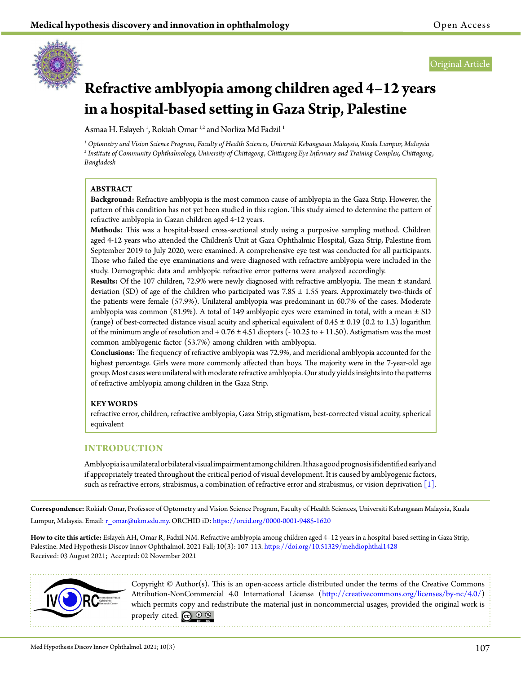

# **Refractive amblyopia among children aged 4–12 years in a hospital-based setting in Gaza Strip, Palestine**

Asmaa H. Eslayeh <sup>1</sup>, Rokiah Omar <sup>1,2</sup> and Norliza Md Fadzil <sup>1</sup>

*1 Optometry and Vision Science Program, Faculty of Health Sciences, Universiti Kebangsaan Malaysia, Kuala Lumpur, Malaysia 2 Institute of Community Ophthalmology, University of Chittagong, Chittagong Eye Infirmary and Training Complex, Chittagong, Bangladesh*

# **ABSTRACT**

**Background:** Refractive amblyopia is the most common cause of amblyopia in the Gaza Strip. However, the pattern of this condition has not yet been studied in this region. This study aimed to determine the pattern of refractive amblyopia in Gazan children aged 4-12 years.

**Methods:** This was a hospital-based cross-sectional study using a purposive sampling method. Children aged 4‒12 years who attended the Children's Unit at Gaza Ophthalmic Hospital, Gaza Strip, Palestine from September 2019 to July 2020, were examined. A comprehensive eye test was conducted for all participants. Those who failed the eye examinations and were diagnosed with refractive amblyopia were included in the study. Demographic data and amblyopic refractive error patterns were analyzed accordingly.

**Results:** Of the 107 children, 72.9% were newly diagnosed with refractive amblyopia. The mean ± standard deviation (SD) of age of the children who participated was  $7.85 \pm 1.55$  years. Approximately two-thirds of the patients were female (57.9%). Unilateral amblyopia was predominant in 60.7% of the cases. Moderate amblyopia was common (81.9%). A total of 149 amblyopic eyes were examined in total, with a mean ± SD (range) of best-corrected distance visual acuity and spherical equivalent of  $0.45 \pm 0.19$  (0.2 to 1.3) logarithm of the minimum angle of resolution and  $+0.76 \pm 4.51$  diopters ( $-10.25$  to  $+11.50$ ). Astigmatism was the most common amblyogenic factor (53.7%) among children with amblyopia.

**Conclusions:** The frequency of refractive amblyopia was 72.9%, and meridional amblyopia accounted for the highest percentage. Girls were more commonly affected than boys. The majority were in the 7-year-old age group. Most cases were unilateral with moderate refractive amblyopia. Our study yields insights into the patterns of refractive amblyopia among children in the Gaza Strip.

# **KEY WORDS**

refractive error, children, refractive amblyopia, Gaza Strip, stigmatism, best-corrected visual acuity, spherical equivalent

# **INTRODUCTION**

Amblyopia is a unilateral or bilateral visual impairment among children. It has a good prognosis if identified early and if appropriately treated throughout the critical period of visual development. It is caused by amblyogenic factors, such as refractive errors, strabismus, a combination of refractive error and strabismus, or vision deprivation  $[1]$ .

**Correspondence:** Rokiah Omar, Professor of Optometry and Vision Science Program, Faculty of Health Sciences, Universiti Kebangsaan Malaysia, Kuala Lumpur, Malaysia. Email: [r\\_omar@ukm.edu.my](mailto:r_omar%40ukm.edu.my?subject=). ORCHID iD:<https://orcid.org/0000-0001-9485-1620>

**How to cite this article:** Eslayeh AH, Omar R, Fadzil NM. Refractive amblyopia among children aged 4–12 years in a hospital-based setting in Gaza Strip, Palestine. Med Hypothesis Discov Innov Ophthalmol. 2021 Fall; 10(3): 107-113. <https://doi.org/10.51329/mehdiophthal1428> Received: 03 August 2021; Accepted: 02 November 2021



Copyright © Author(s). This is an open-access article distributed under the terms of the Creative Commons Attribution-NonCommercial 4.0 International License (http://creativecommons.org/licenses/by-nc/4.0/) which permits copy and redistribute the material just in noncommercial usages, provided the original work is properly cited.  $\mathbb{C}$   $\mathbb{O}$   $\circledast$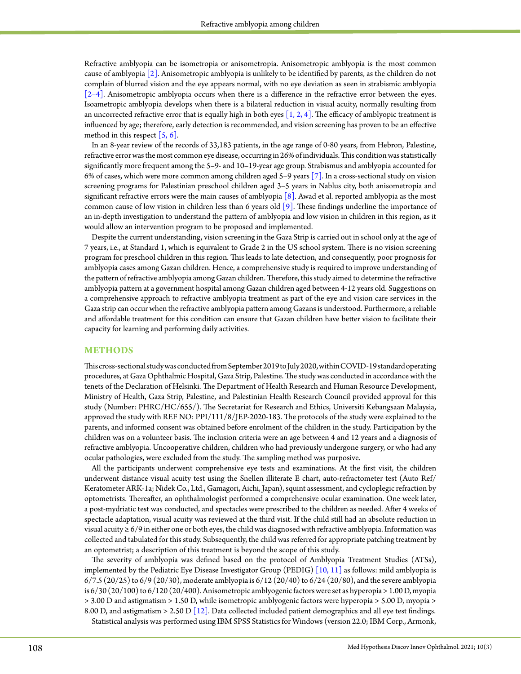Refractive amblyopia can be isometropia or anisometropia. Anisometropic amblyopia is the most common cause of amblyopia [\[2\]](#page-6-1). Anisometropic amblyopia is unlikely to be identified by parents, as the children do not complain of blurred vision and the eye appears normal, with no eye deviation as seen in strabismic amblyopia [\[2–4\]](#page-6-1). Anisometropic amblyopia occurs when there is a difference in the refractive error between the eyes. Isoametropic amblyopia develops when there is a bilateral reduction in visual acuity, normally resulting from an uncorrected refractive error that is equally high in both eyes  $[1, 2, 4]$ . The efficacy of amblyopic treatment is influenced by age; therefore, early detection is recommended, and vision screening has proven to be an effective method in this respect  $[5, 6]$ .

In an 8-year review of the records of 33,183 patients, in the age range of 0-80 years, from Hebron, Palestine, refractive error was the most common eye disease, occurring in 26% of individuals. This condition was statistically significantly more frequent among the 5–9- and 10–19-year age group. Strabismus and amblyopia accounted for 6% of cases, which were more common among children aged 5–9 years [\[7\]](#page-6-3). In a cross-sectional study on vision screening programs for Palestinian preschool children aged 3–5 years in Nablus city, both anisometropia and significant refractive errors were the main causes of amblyopia [\[8\]](#page-6-4). Awad et al. reported amblyopia as the most common cause of low vision in children less than 6 years old [\[9\].](#page-6-5) These findings underline the importance of an in-depth investigation to understand the pattern of amblyopia and low vision in children in this region, as it would allow an intervention program to be proposed and implemented.

Despite the current understanding, vision screening in the Gaza Strip is carried out in school only at the age of 7 years, i.e., at Standard 1, which is equivalent to Grade 2 in the US school system. There is no vision screening program for preschool children in this region. This leads to late detection, and consequently, poor prognosis for amblyopia cases among Gazan children. Hence, a comprehensive study is required to improve understanding of the pattern of refractive amblyopia among Gazan children. Therefore, this study aimed to determine the refractive amblyopia pattern at a government hospital among Gazan children aged between 4-12 years old. Suggestions on a comprehensive approach to refractive amblyopia treatment as part of the eye and vision care services in the Gaza strip can occur when the refractive amblyopia pattern among Gazans is understood. Furthermore, a reliable and affordable treatment for this condition can ensure that Gazan children have better vision to facilitate their capacity for learning and performing daily activities.

### **METHODS**

This cross-sectional study was conducted from September 2019 to July 2020, within COVID-19 standard operating procedures, at Gaza Ophthalmic Hospital, Gaza Strip, Palestine. The study was conducted in accordance with the tenets of the Declaration of Helsinki. The Department of Health Research and Human Resource Development, Ministry of Health, Gaza Strip, Palestine, and Palestinian Health Research Council provided approval for this study (Number: PHRC/HC/655/). The Secretariat for Research and Ethics, Universiti Kebangsaan Malaysia, approved the study with REF NO: PPI/111/8/JEP-2020-183. The protocols of the study were explained to the parents, and informed consent was obtained before enrolment of the children in the study. Participation by the children was on a volunteer basis. The inclusion criteria were an age between 4 and 12 years and a diagnosis of refractive amblyopia. Uncooperative children, children who had previously undergone surgery, or who had any ocular pathologies, were excluded from the study. The sampling method was purposive.

All the participants underwent comprehensive eye tests and examinations. At the first visit, the children underwent distance visual acuity test using the Snellen illiterate E chart, auto-refractometer test (Auto Ref/ Keratometer ARK-1a; Nidek Co., Ltd., Gamagori, Aichi, Japan), squint assessment, and cycloplegic refraction by optometrists. Thereafter, an ophthalmologist performed a comprehensive ocular examination. One week later, a post-mydriatic test was conducted, and spectacles were prescribed to the children as needed. After 4 weeks of spectacle adaptation, visual acuity was reviewed at the third visit. If the child still had an absolute reduction in visual acuity ≥ 6/9 in either one or both eyes, the child was diagnosed with refractive amblyopia. Information was collected and tabulated for this study. Subsequently, the child was referred for appropriate patching treatment by an optometrist; a description of this treatment is beyond the scope of this study.

The severity of amblyopia was defined based on the protocol of Amblyopia Treatment Studies (ATSs), implemented by the Pediatric Eye Disease Investigator Group (PEDIG) [\[10, 11\]](#page-6-6) as follows: mild amblyopia is 6/7.5 (20/25) to 6/9 (20/30), moderate amblyopia is 6/12 (20/40) to 6/24 (20/80), and the severe amblyopia is 6/30 (20/100) to 6/120 (20/400). Anisometropic amblyogenic factors were set as hyperopia > 1.00 D, myopia > 3.00 D and astigmatism > 1.50 D, while isometropic amblyogenic factors were hyperopia > 5.00 D, myopia > 8.00 D, and astigmatism  $> 2.50$  D [\[12\].](#page-6-7) Data collected included patient demographics and all eye test findings. Statistical analysis was performed using IBM SPSS Statistics for Windows (version 22.0; IBM Corp., Armonk,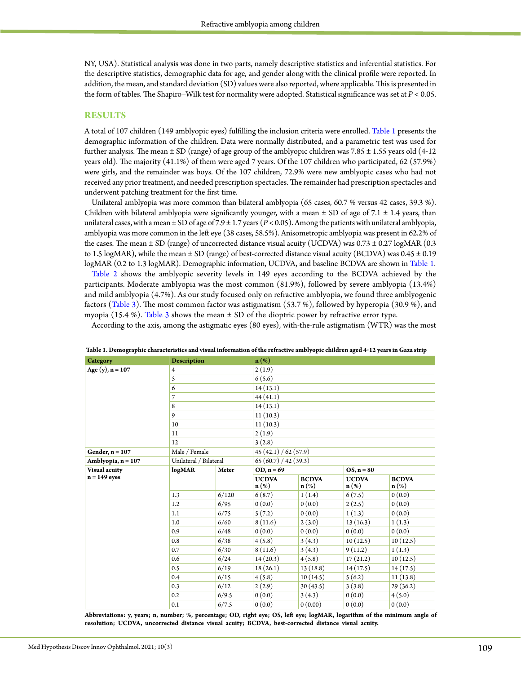NY, USA). Statistical analysis was done in two parts, namely descriptive statistics and inferential statistics. For the descriptive statistics, demographic data for age, and gender along with the clinical profile were reported. In addition, the mean, and standard deviation (SD) values were also reported, where applicable. This is presented in the form of tables. The Shapiro–Wilk test for normality were adopted. Statistical significance was set at *P* < 0.05.

#### **RESULTS**

A total of 107 children (149 amblyopic eyes) fulfilling the inclusion criteria were enrolled. [Table 1](#page-2-0) presents the demographic information of the children. Data were normally distributed, and a parametric test was used for further analysis. The mean  $\pm$  SD (range) of age group of the amblyopic children was 7.85  $\pm$  1.55 years old (4-12 years old). The majority (41.1%) of them were aged 7 years. Of the 107 children who participated, 62 (57.9%) were girls, and the remainder was boys. Of the 107 children, 72.9% were new amblyopic cases who had not received any prior treatment, and needed prescription spectacles. The remainder had prescription spectacles and underwent patching treatment for the first time.

Unilateral amblyopia was more common than bilateral amblyopia (65 cases, 60.7 % versus 42 cases, 39.3 %). Children with bilateral amblyopia were significantly younger, with a mean  $\pm$  SD of age of 7.1  $\pm$  1.4 years, than unilateral cases, with a mean ± SD of age of 7.9 ± 1.7 years (*P* < 0.05). Among the patients with unilateral amblyopia, amblyopia was more common in the left eye (38 cases, 58.5%). Anisometropic amblyopia was present in 62.2% of the cases. The mean  $\pm$  SD (range) of uncorrected distance visual acuity (UCDVA) was 0.73  $\pm$  0.27 logMAR (0.3 to 1.5 logMAR), while the mean  $\pm$  SD (range) of best-corrected distance visual acuity (BCDVA) was 0.45  $\pm$  0.19 logMAR (0.2 to 1.3 logMAR). Demographic information, UCDVA, and baseline BCDVA are shown in [Table](#page-2-0) 1.

[Table 2](#page-3-0) shows the amblyopic severity levels in 149 eyes according to the BCDVA achieved by the participants. Moderate amblyopia was the most common (81.9%), followed by severe amblyopia (13.4%) and mild amblyopia (4.7%). As our study focused only on refractive amblyopia, we found three amblyogenic factors [\(Table 3](#page-3-1)). The most common factor was astigmatism (53.7 %), followed by hyperopia (30.9 %), and myopia (15.4 %). [Table](#page-3-1) 3 shows the mean  $\pm$  SD of the dioptric power by refractive error type.

According to the axis, among the astigmatic eyes (80 eyes), with-the-rule astigmatism (WTR) was the most

| Category                               | <b>Description</b>     |       | $\mathbf{n}(\%)$                 |                                  |                                  |                                  |
|----------------------------------------|------------------------|-------|----------------------------------|----------------------------------|----------------------------------|----------------------------------|
| Age (y), $n = 107$                     | 4                      |       | 2(1.9)                           |                                  |                                  |                                  |
|                                        | 5                      |       | 6(5.6)                           |                                  |                                  |                                  |
|                                        | 6                      |       | 14(13.1)                         |                                  |                                  |                                  |
|                                        | 7                      |       | 44(41.1)                         |                                  |                                  |                                  |
|                                        | 8                      |       | 14(13.1)                         |                                  |                                  |                                  |
|                                        | 9                      |       | 11(10.3)                         |                                  |                                  |                                  |
|                                        | 10                     |       | 11(10.3)                         |                                  |                                  |                                  |
|                                        | 11                     |       | 2(1.9)                           |                                  |                                  |                                  |
|                                        | 12                     |       | 3(2.8)                           |                                  |                                  |                                  |
| Gender, $n = 107$                      | Male / Female          |       | 45(42.1)/62(57.9)                |                                  |                                  |                                  |
| Amblyopia, $n = 107$                   | Unilateral / Bilateral |       | 65(60.7)/42(39.3)                |                                  |                                  |                                  |
| <b>Visual acuity</b><br>$n = 149$ eyes | logMAR                 | Meter | $OD, n = 69$                     |                                  | $OS, n = 80$                     |                                  |
|                                        |                        |       | <b>UCDVA</b><br>$\mathbf{n}(\%)$ | <b>BCDVA</b><br>$\mathbf{n}(\%)$ | <b>UCDVA</b><br>$\mathbf{n}(\%)$ | <b>BCDVA</b><br>$\mathbf{n}(\%)$ |
|                                        | 1.3                    | 6/120 | 6(8.7)                           | 1(1.4)                           | 6(7.5)                           | 0(0.0)                           |
|                                        | 1.2                    | 6/95  | 0(0.0)                           | 0(0.0)                           | 2(2.5)                           | 0(0.0)                           |
|                                        | 1.1                    | 6/75  | 5(7.2)                           | 0(0.0)                           | 1(1.3)                           | 0(0.0)                           |
|                                        | 1.0                    | 6/60  | 8(11.6)                          | 2(3.0)                           | 13(16.3)                         | 1(1.3)                           |
|                                        | 0.9                    | 6/48  | 0(0.0)                           | 0(0.0)                           | 0(0.0)                           | 0(0.0)                           |
|                                        | 0.8                    | 6/38  | 4(5.8)                           | 3(4.3)                           | 10(12.5)                         | 10(12.5)                         |
|                                        | 0.7                    | 6/30  | 8(11.6)                          | 3(4.3)                           | 9(11.2)                          | 1(1.3)                           |
|                                        | 0.6                    | 6/24  | 14(20.3)                         | 4(5.8)                           | 17(21.2)                         | 10(12.5)                         |
|                                        | 0.5                    | 6/19  | 18(26.1)                         | 13(18.8)                         | 14(17.5)                         | 14(17.5)                         |
|                                        | 0.4                    | 6/15  | 4(5.8)                           | 10(14.5)                         | 5(6.2)                           | 11(13.8)                         |
|                                        | 0.3                    | 6/12  | 2(2.9)                           | 30(43.5)                         | 3(3.8)                           | 29(36.2)                         |
|                                        | 0.2                    | 6/9.5 | 0(0.0)                           | 3(4.3)                           | 0(0.0)                           | 4(5.0)                           |
|                                        | 0.1                    | 6/7.5 | 0(0.0)                           | 0(0.00)                          | 0(0.0)                           | 0(0.0)                           |
|                                        |                        |       |                                  |                                  |                                  |                                  |

<span id="page-2-0"></span>Table 1. Demographic characteristics and visual information of the refractive amblyopic children aged 4-12 years in Gaza strip

**Abbreviations: y, years; n, number; %, percentage; OD, right eye; OS, left eye; logMAR, logarithm of the minimum angle of resolution; UCDVA, uncorrected distance visual acuity; BCDVA, best-corrected distance visual acuity.**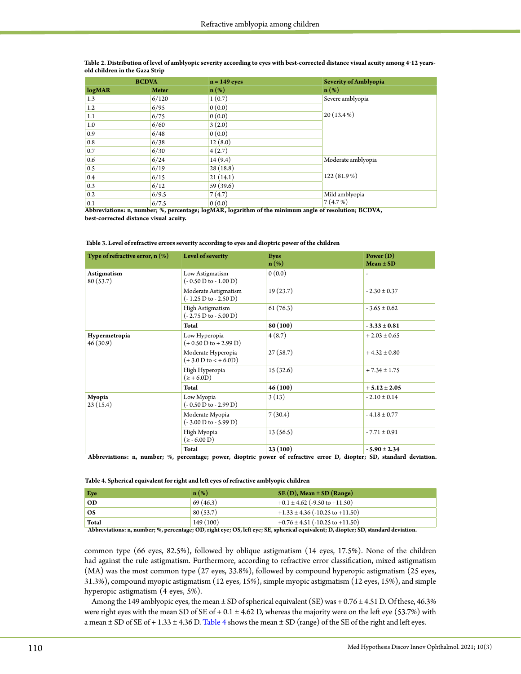|                          | <b>BCDVA</b> | $n = 149$ eyes   | <b>Severity of Amblyopia</b> |
|--------------------------|--------------|------------------|------------------------------|
| logMAR                   | <b>Meter</b> | $\mathbf{n}(\%)$ | $\mathbf{n}(\%)$             |
| 1.3                      | 6/120        | 1(0.7)           | Severe amblyopia             |
| 1.2                      | 6/95         | 0(0.0)           |                              |
| 1.1                      | 6/75         | 0(0.0)           | $20(13.4\%)$                 |
| 1.0                      | 6/60         | 3(2.0)           |                              |
| 0.9                      | 6/48         | 0(0.0)           |                              |
| 0.8                      | 6/38         | 12(8.0)          |                              |
| 0.7                      | 6/30         | 4(2.7)           |                              |
| 0.6                      | 6/24         | 14(9.4)          | Moderate amblyopia           |
| 0.5                      | 6/19         | 28(18.8)         |                              |
| 0.4                      | 6/15         | 21(14.1)         | 122 (81.9%)                  |
| 0.3                      | 6/12         | 59(39.6)         |                              |
| 0.2                      | 6/9.5        | 7(4.7)           | Mild amblyopia               |
| 0.1<br><b>STATISTICS</b> | 6/7.5        | 0(0.0)<br>$-$    | 7(4.7%)                      |

<span id="page-3-0"></span>Table 2. Distribution of level of amblyopic severity according to eyes with best-corrected distance visual acuity among 4-12 years**old children in the Gaza Strip**

**Abbreviations: n, number; %, percentage; logMAR, logarithm of the minimum angle of resolution; BCDVA, best-corrected distance visual acuity.**

<span id="page-3-1"></span>

| Type of refractive error, $n$ (%) | Level of severity                               | <b>Eyes</b><br>$\mathbf{n}(\%)$ | Power $(D)$<br>$Mean \pm SD$ |
|-----------------------------------|-------------------------------------------------|---------------------------------|------------------------------|
| <b>Astigmatism</b><br>80(53.7)    | Low Astigmatism<br>$(-0.50 D to - 1.00 D)$      | 0(0.0)                          | $\qquad \qquad \blacksquare$ |
|                                   | Moderate Astigmatism<br>$(-1.25 D to - 2.50 D)$ | 19(23.7)                        | $-2.30 \pm 0.37$             |
|                                   | High Astigmatism<br>$(-2.75 D to - 5.00 D)$     | 61(76.3)                        | $-3.65 \pm 0.62$             |
|                                   | <b>Total</b>                                    | 80 (100)                        | $-3.33 \pm 0.81$             |
| Hypermetropia<br>46(30.9)         | Low Hyperopia<br>$(+0.50 D to + 2.99 D)$        | 4(8.7)                          | $+2.03 \pm 0.65$             |
|                                   | Moderate Hyperopia<br>$(+3.0 D to < +6.0 D)$    | 27(58.7)                        | $+4.32 \pm 0.80$             |
|                                   | High Hyperopia<br>$(2 + 6.0D)$                  | 15(32.6)                        | $+7.34 \pm 1.75$             |
|                                   | Total                                           | 46(100)                         | $+5.12 \pm 2.05$             |
| Myopia<br>23(15.4)                | Low Myopia<br>$(-0.50 D to - 2.99 D)$           | 3(13)                           | $-2.10 \pm 0.14$             |
|                                   | Moderate Myopia<br>$(-3.00 D to - 5.99 D)$      | 7(30.4)                         | $-4.18 \pm 0.77$             |
|                                   | High Myopia<br>$(2 - 6.00 D)$                   | 13(56.5)                        | $-7.71 \pm 0.91$             |
|                                   | <b>Total</b>                                    | 23(100)                         | $-5.90 \pm 2.34$             |

 **Abbreviations: n, number; %, percentage; power, dioptric power of refractive error D, diopter; SD, standard deviation.**

<span id="page-3-2"></span>

| Eye       | $\mathbf{n}(\%)$ | $SE(D)$ , Mean $\pm SD$ (Range)              |
|-----------|------------------|----------------------------------------------|
| <b>OD</b> | 69(46.3)         | $+0.1 \pm 4.62$ (-9.50 to +11.50)            |
| <b>OS</b> | 80(53.7)         | $+1.33 \pm 4.36 (-10.25 \text{ to } +11.50)$ |
| Total     | 149(100)         | $+0.76 \pm 4.51 (-10.25 \text{ to } +11.50)$ |

 **Abbreviations: n, number; %, percentage; OD, right eye; OS, left eye; SE, spherical equivalent; D, diopter; SD, standard deviation.**

common type (66 eyes, 82.5%), followed by oblique astigmatism (14 eyes, 17.5%). None of the children had against the rule astigmatism. Furthermore, according to refractive error classification, mixed astigmatism (MA) was the most common type (27 eyes, 33.8%), followed by compound hyperopic astigmatism (25 eyes, 31.3%), compound myopic astigmatism (12 eyes, 15%), simple myopic astigmatism (12 eyes, 15%), and simple hyperopic astigmatism (4 eyes, 5%).

Among the 149 amblyopic eyes, the mean ± SD of spherical equivalent (SE) was + 0.76 ± 4.51 D. Of these, 46.3% were right eyes with the mean SD of SE of  $+ 0.1 \pm 4.62$  D, whereas the majority were on the left eye (53.7%) with a mean  $\pm$  SD of SE of + 1.33  $\pm$  4.36 D. [Table](#page-3-2) 4 shows the mean  $\pm$  SD (range) of the SE of the right and left eyes.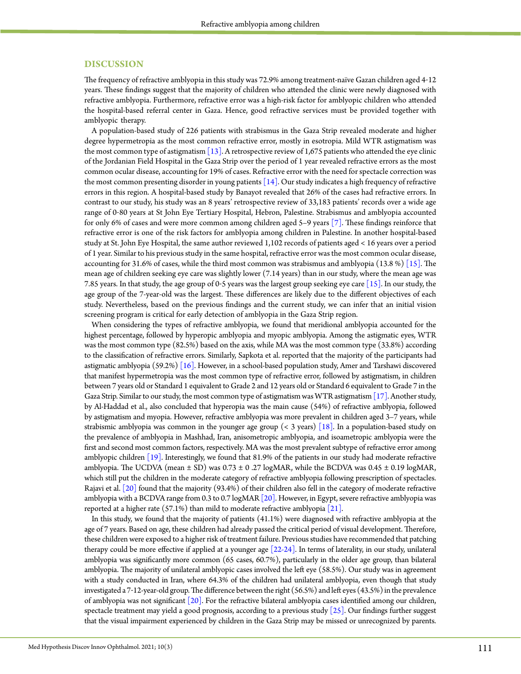#### **DISCUSSION**

The frequency of refractive amblyopia in this study was 72.9% among treatment-naïve Gazan children aged 4-12 years. These findings suggest that the majority of children who attended the clinic were newly diagnosed with refractive amblyopia. Furthermore, refractive error was a high-risk factor for amblyopic children who attended the hospital-based referral center in Gaza. Hence, good refractive services must be provided together with amblyopic therapy.

A population-based study of 226 patients with strabismus in the Gaza Strip revealed moderate and higher degree hypermetropia as the most common refractive error, mostly in esotropia. Mild WTR astigmatism was the most common type of astigmatism  $\left[13\right]$ . A retrospective review of 1,675 patients who attended the eye clinic of the Jordanian Field Hospital in the Gaza Strip over the period of 1 year revealed refractive errors as the most common ocular disease, accounting for 19% of cases. Refractive error with the need for spectacle correction was the most common presenting disorder in young patients  $[14]$ . Our study indicates a high frequency of refractive errors in this region. A hospital-based study by Banayot revealed that 26% of the cases had refractive errors. In contrast to our study, his study was an 8 years' retrospective review of 33,183 patients' records over a wide age range of 0‒80 years at St John Eye Tertiary Hospital, Hebron, Palestine. Strabismus and amblyopia accounted for only 6% of cases and were more common among children aged 5–9 years [\[7\].](#page-6-3) These findings reinforce that refractive error is one of the risk factors for amblyopia among children in Palestine. In another hospital-based study at St. John Eye Hospital, the same author reviewed 1,102 records of patients aged < 16 years over a period of 1 year. Similar to his previous study in the same hospital, refractive error was the most common ocular disease, accounting for 31.6% of cases, while the third most common was strabismus and amblyopia  $(13.8\%)$  [\[15\]](#page-6-10). The mean age of children seeking eye care was slightly lower (7.14 years) than in our study, where the mean age was 7.85 years. In that study, the age group of 0-5 years was the largest group seeking eye care [\[15\].](#page-6-10) In our study, the age group of the 7-year-old was the largest. These differences are likely due to the different objectives of each study. Nevertheless, based on the previous findings and the current study, we can infer that an initial vision screening program is critical for early detection of amblyopia in the Gaza Strip region.

When considering the types of refractive amblyopia, we found that meridional amblyopia accounted for the highest percentage, followed by hyperopic amblyopia and myopic amblyopia. Among the astigmatic eyes, WTR was the most common type (82.5%) based on the axis, while MA was the most common type (33.8%) according to the classification of refractive errors. Similarly, Sapkota et al. reported that the majority of the participants had astigmatic amblyopia  $(59.2%)$  [\[16\]](#page-6-11). However, in a school-based population study, Amer and Tarshawi discovered that manifest hypermetropia was the most common type of refractive error, followed by astigmatism, in children between 7 years old or Standard 1 equivalent to Grade 2 and 12 years old or Standard 6 equivalent to Grade 7 in the Gaza Strip. Similar to our study, the most common type of astigmatism was WTR astigmatism [\[17\].](#page-6-12) Another study, by Al-Haddad et al., also concluded that hyperopia was the main cause (54%) of refractive amblyopia, followed by astigmatism and myopia. However, refractive amblyopia was more prevalent in children aged 3–7 years, while strabismic amblyopia was common in the younger age group  $\left($  < 3 years)  $\left[18\right]$ . In a population-based study on the prevalence of amblyopia in Mashhad, Iran, anisometropic amblyopia, and isoametropic amblyopia were the first and second most common factors, respectively. MA was the most prevalent subtype of refractive error among amblyopic childre[n \[19\].](#page-6-14) Interestingly, we found that 81.9% of the patients in our study had moderate refractive amblyopia. The UCDVA (mean ± SD) was 0.73 ± 0 .27 logMAR, while the BCDVA was 0.45 ± 0.19 logMAR, which still put the children in the moderate category of refractive amblyopia following prescription of spectacles. Rajavi et al. [\[20\]](#page-6-15) found that the majority (93.4%) of their children also fell in the category of moderate refractive amblyopia with a BCDVA range from 0.3 to 0.7 logMAR  $[20]$ . However, in Egypt, severe refractive amblyopia was reported at a higher rate  $(57.1\%)$  than mild to moderate refractive amblyopia [\[21\].](#page-6-16)

In this study, we found that the majority of patients (41.1%) were diagnosed with refractive amblyopia at the age of 7 years. Based on age, these children had already passed the critical period of visual development. Therefore, these children were exposed to a higher risk of treatment failure. Previous studies have recommended that patching therapy could be more effective if applied at a younger ag[e \[22-24\].](#page-6-17) In terms of laterality, in our study, unilateral amblyopia was significantly more common (65 cases, 60.7%), particularly in the older age group, than bilateral amblyopia. The majority of unilateral amblyopic cases involved the left eye (58.5%). Our study was in agreement with a study conducted in Iran, where 64.3% of the children had unilateral amblyopia, even though that study investigated a 7-12-year-old group. The difference between the right (56.5%) and left eyes (43.5%) in the prevalence of amblyopia was not significant [\[20\]](#page-6-15). For the refractive bilateral amblyopia cases identified among our children, spectacle treatment may yield a good prognosis, according to a previous study  $[25]$ . Our findings further suggest that the visual impairment experienced by children in the Gaza Strip may be missed or unrecognized by parents.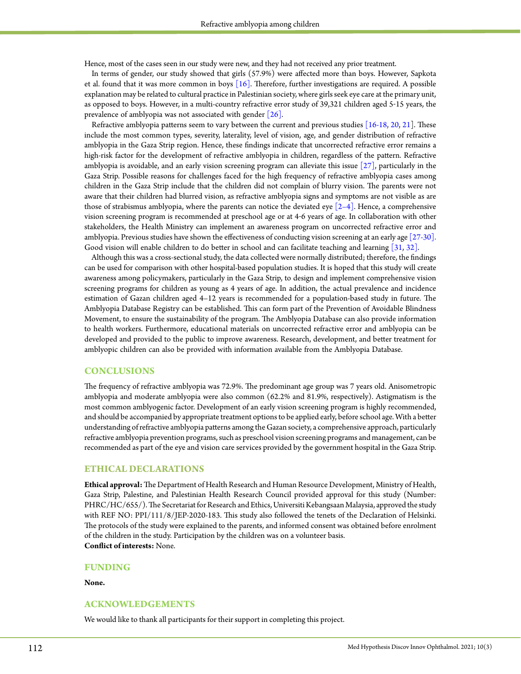Hence, most of the cases seen in our study were new, and they had not received any prior treatment.

In terms of gender, our study showed that girls (57.9%) were affected more than boys. However, Sapkota et al. found that it was more common in boys [\[16\]](#page-6-11). Therefore, further investigations are required. A possible explanation may be related to cultural practice in Palestinian society, where girls seek eye care at the primary unit, as opposed to boys. However, in a multi-country refractive error study of 39,321 children aged 5-15 years, the prevalence of amblyopia was not associated with gende[r \[26\].](#page-6-19)

Refractive amblyopia patterns seem to vary between the current and previous studies  $[16-18, 20, 21]$  $[16-18, 20, 21]$  $[16-18, 20, 21]$  $[16-18, 20, 21]$  $[16-18, 20, 21]$ . These include the most common types, severity, laterality, level of vision, age, and gender distribution of refractive amblyopia in the Gaza Strip region. Hence, these findings indicate that uncorrected refractive error remains a high-risk factor for the development of refractive amblyopia in children, regardless of the pattern. Refractive amblyopia is avoidable, and an early vision screening program can alleviate this issue [\[27\],](#page-6-20) particularly in the Gaza Strip. Possible reasons for challenges faced for the high frequency of refractive amblyopia cases among children in the Gaza Strip include that the children did not complain of blurry vision. The parents were not aware that their children had blurred vision, as refractive amblyopia signs and symptoms are not visible as are those of strabismus amblyopia, where the parents can notice the deviated eye  $\lceil 2-4 \rceil$ . Hence, a comprehensive vision screening program is recommended at preschool age or at 4‒6 years of age. In collaboration with other stakeholders, the Health Ministry can implement an awareness program on uncorrected refractive error and amblyopia. Previous studies have shown the effectiveness of conducting vision screening at an early age [\[27-30\].](#page-6-20)  Good vision will enable children to do better in school and can facilitate teaching and learning [\[31](#page-6-21), [32\].](#page-6-22)

Although this was a cross-sectional study, the data collected were normally distributed; therefore, the findings can be used for comparison with other hospital-based population studies. It is hoped that this study will create awareness among policymakers, particularly in the Gaza Strip, to design and implement comprehensive vision screening programs for children as young as 4 years of age. In addition, the actual prevalence and incidence estimation of Gazan children aged 4–12 years is recommended for a population-based study in future. The Amblyopia Database Registry can be established. This can form part of the Prevention of Avoidable Blindness Movement, to ensure the sustainability of the program. The Amblyopia Database can also provide information to health workers. Furthermore, educational materials on uncorrected refractive error and amblyopia can be developed and provided to the public to improve awareness. Research, development, and better treatment for amblyopic children can also be provided with information available from the Amblyopia Database.

# **CONCLUSIONS**

The frequency of refractive amblyopia was 72.9%. The predominant age group was 7 years old. Anisometropic amblyopia and moderate amblyopia were also common (62.2% and 81.9%, respectively). Astigmatism is the most common amblyogenic factor. Development of an early vision screening program is highly recommended, and should be accompanied by appropriate treatment options to be applied early, before school age. With a better understanding of refractive amblyopia patterns among the Gazan society, a comprehensive approach, particularly refractive amblyopia prevention programs, such as preschool vision screening programs and management, can be recommended as part of the eye and vision care services provided by the government hospital in the Gaza Strip.

#### **ETHICAL DECLARATIONS**

**Ethical approval:** The Department of Health Research and Human Resource Development, Ministry of Health, Gaza Strip, Palestine, and Palestinian Health Research Council provided approval for this study (Number: PHRC/HC/655/). The Secretariat for Research and Ethics, Universiti Kebangsaan Malaysia, approved the study with REF NO: PPI/111/8/JEP-2020-183. This study also followed the tenets of the Declaration of Helsinki. The protocols of the study were explained to the parents, and informed consent was obtained before enrolment of the children in the study. Participation by the children was on a volunteer basis. **Conflict of interests:** None.

#### **FUNDING**

**None.**

# **ACKNOWLEDGEMENTS**

We would like to thank all participants for their support in completing this project.